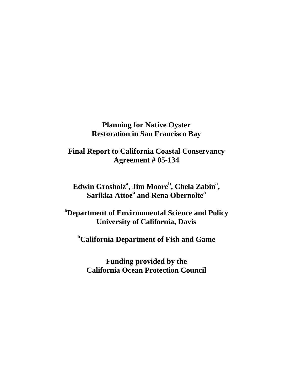# **Planning for Native Oyster Restoration in San Francisco Bay**

**Final Report to California Coastal Conservancy Agreement # 05-134** 

 $\bf{E}$ dwin Grosholz $\bf{a}$ , Jim Moore $\bf{b}$ , Chela Zabin $\bf{a}$ , **Sarikka Attoe<sup>a</sup> and Rena Obernolte<sup>a</sup>**

**a Department of Environmental Science and Policy University of California, Davis** 

**b California Department of Fish and Game** 

**Funding provided by the California Ocean Protection Council**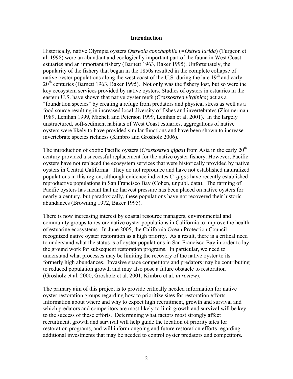#### **Introduction**

Historically, native Olympia oysters *Ostreola conchaphila* (*=Ostrea lurida*) (Turgeon et al. 1998) were an abundant and ecologically important part of the fauna in West Coast estuaries and an important fishery (Barnett 1963, Baker 1995). Unfortunately, the popularity of the fishery that began in the 1850s resulted in the complete collapse of native oyster populations along the west coast of the U.S. during the late  $19<sup>th</sup>$  and early  $20<sup>th</sup>$  centuries (Barnett 1963, Baker 1995). Not only was the fishery lost, but so were the key ecosystem services provided by native oysters. Studies of oysters in estuaries in the eastern U.S. have shown that native oyster reefs (*Crassostrea virginica*) act as a "foundation species" by creating a refuge from predators and physical stress as well as a food source resulting in increased local diversity of fishes and invertebrates (Zimmerman 1989, Lenihan 1999, Micheli and Peterson 1999, Lenihan et al. 2001). In the largely unstructured, soft-sediment habitats of West Coast estuaries, aggregations of native oysters were likely to have provided similar functions and have been shown to increase invertebrate species richness (Kimbro and Grosholz 2006).

The introduction of exotic Pacific oysters (*Crassostrea gigas*) from Asia in the early 20<sup>th</sup> century provided a successful replacement for the native oyster fishery. However, Pacific oysters have not replaced the ecosystem services that were historically provided by native oysters in Central California. They do not reproduce and have not established naturalized populations in this region, although evidence indicates *C. gigas* have recently established reproductive populations in San Francisco Bay (Cohen, unpubl. data). The farming of Pacific oysters has meant that no harvest pressure has been placed on native oysters for nearly a century, but paradoxically, these populations have not recovered their historic abundances (Browning 1972, Baker 1995).

There is now increasing interest by coastal resource managers, environmental and community groups to restore native oyster populations in California to improve the health of estuarine ecosystems. In June 2005, the California Ocean Protection Council recognized native oyster restoration as a high priority. As a result, there is a critical need to understand what the status is of oyster populations in San Francisco Bay in order to lay the ground work for subsequent restoration programs. In particular, we need to understand what processes may be limiting the recovery of the native oyster to its formerly high abundances. Invasive space competitors and predators may be contributing to reduced population growth and may also pose a future obstacle to restoration (Grosholz et al. 2000, Grosholz et al. 2001, Kimbro et al. *in review*).

The primary aim of this project is to provide critically needed information for native oyster restoration groups regarding how to prioritize sites for restoration efforts. Information about where and why to expect high recruitment, growth and survival and which predators and competitors are most likely to limit growth and survival will be key to the success of these efforts. Determining what factors most strongly affect recruitment, growth and survival will help guide the location of priority sites for restoration programs, and will inform ongoing and future restoration efforts regarding additional investments that may be needed to control oyster predators and competitors.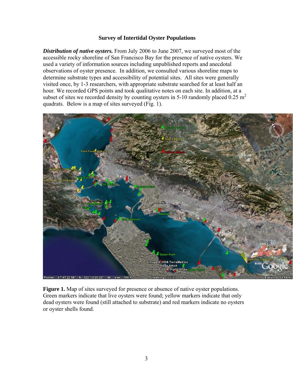#### **Survey of Intertidal Oyster Populations**

*Distribution of native oysters.* From July 2006 to June 2007, we surveyed most of the accessible rocky shoreline of San Francisco Bay for the presence of native oysters. We used a variety of information sources including unpublished reports and anecdotal observations of oyster presence. In addition, we consulted various shoreline maps to determine substrate types and accessibility of potential sites. All sites were generally visited once, by 1-3 researchers, with appropriate substrate searched for at least half an hour. We recorded GPS points and took qualitative notes on each site. In addition, at a subset of sites we recorded density by counting oysters in 5-10 randomly placed 0.25  $m<sup>2</sup>$ quadrats. Below is a map of sites surveyed (Fig. 1).



**Figure 1.** Map of sites surveyed for presence or absence of native oyster populations. Green markers indicate that live oysters were found; yellow markers indicate that only dead oysters were found (still attached to substrate) and red markers indicate no oysters or oyster shells found.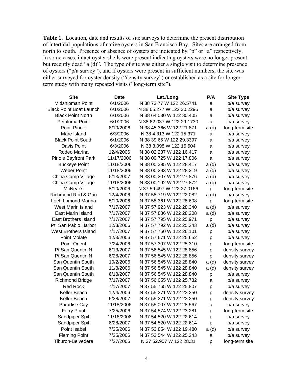**Table 1.** Location, date and results of site surveys to determine the present distribution of intertidal populations of native oysters in San Francisco Bay. Sites are arranged from north to south. Presence or absence of oysters are indicated by "p" or "a" respectively. In some cases, intact oyster shells were present indicating oysters were no longer present but recently dead "a (d)". The type of site was either a single visit to determine presence of oysters ("p/a survey"), and if oysters were present in sufficient numbers, the site was either surveyed for oyster density ("density survey") or established as a site for longerterm study with many repeated visits ("long-term site").

| <b>Site</b>                    | <b>Date</b> | Lat./Long.                | P/A   | <b>Site Type</b> |
|--------------------------------|-------------|---------------------------|-------|------------------|
| Midshipman Point               | 6/1/2006    | N 38 73.77 W 122 26.5741  | a     | p/a survey       |
| <b>Black Point Boat Launch</b> | 6/1/2006    | N 38 65.277 W 122 30.2295 | a     | p/a survey       |
| <b>Black Point North</b>       | 6/1/2006    | N 38 64.030 W 122 30.405  | a     | p/a survey       |
| Petaluma Point                 | 6/1/2006    | N 38 62.037 W 122 29.1730 | a     | p/a survey       |
| <b>Point Pinole</b>            | 8/10/2006   | N 38 45.366 W 122 21.871  | a(d)  | long-term site   |
| Mare Island                    | 6/3/2006    | N 38 4.313 W 122 15.371   | a     | p/a survey       |
| <b>Black Point South</b>       | 6/1/2006    | N 38 39.65 W 122 29.3397  | a     | p/a survey       |
| Davis Point                    | 6/3/2006    | N 38 3.098 W 122 15.504   | a     | p/a survey       |
| Rodeo Marina                   | 12/4/2006   | N 38 02.237 W 122 16.417  | a     | p/a survey       |
| <b>Pinole Bayfront Park</b>    | 11/17/2006  | N 38 00.725 W 122 17.806  | a     | p/a survey       |
| <b>Buckeye Point</b>           | 11/18/2006  | N 38 00.395 W 122 28.417  | a (d) | p/a survey       |
| <b>Weber Point</b>             | 11/18/2006  | N 38 00.293 W 122 28.219  | a (d) | p/a survey       |
| China Camp Village             | 6/13/2007   | N 38 00.207 W 122 27 876  | a (d) | p/a survey       |
| China Camp Village             | 11/18/2006  | N 38 00.192 W 122 27.872  | a (d) | p/a survey       |
| McNear's                       | 8/10/2006   | N 37 59.497 W 122 27.0166 | p     | long-term site   |
| Richmond Rod & Gun             | 12/4/2006   | N 37 58.719 W 122 22.082  | a (d) | p/a survey       |
| Loch Lomond Marina             | 8/10/2006   | N 37 58.361 W 122 28.608  | p     | long-term site   |
| West Marin Island              | 7/17/2007   | N 37 57.923 W 122 28.340  | a (d) | p/a survey       |
| East Marin Island              | 7/17/2007   | N 37 57.886 W 122 28.208  | a (d) | p/a survey       |
| <b>East Brothers Island</b>    | 7/17/2007   | N 37 57.795 W 122 25.971  | p     | p/a survey       |
| Pt. San Pablo Harbor           | 12/3/2006   | N 37 57.792 W 122 25.243  | a (d) | p/a survey       |
| <b>West Brothers Island</b>    | 7/17/2007   | N 37 57.760 W 122 26.101  | p     | p/a survey       |
| Point Molate                   | 12/3/2006   | N 37 57.671 W 122 25.652  | p     | p/a survey       |
| <b>Point Orient</b>            | 7/24/2006   | N 37 57.307 W 122 25.310  | p     | long-term site   |
| Pt San Quentin N               | 6/13/2007   | N 37 56.545 W 122 28.856  | p     | density survey   |
| Pt San Quentin N               | 6/28/2007   | N 37 56.545 W 122 28.856  | p     | density survey   |
| San Quentin South              | 10/2/2006   | N 37 56.545 W 122 28.840  | a(d)  | density survey   |
| San Quentin South              | 11/3/2006   | N 37 56.545 W 122 28.840  | a (d) | density survey   |
| San Quentin South              | 6/13/2007   | N 37 56.545 W 122 28.840  | p     | p/a survey       |
| <b>Richmond Bridge</b>         | 7/17/2007   | N 37 56.055 W 122 25.732  | a     | p/a survey       |
| <b>Red Rock</b>                | 7/17/2007   | N 37 55.765 W 122 25.807  | p     | p/a survey       |
| Keller Beach                   | 12/4/2006   | N 37 55.271 W 122 23.250  | p     | density survey   |
| Keller Beach                   | 6/28/2007   | N 37 55.271 W 122 23.250  | р     | density survey   |
| Paradise Cay                   | 11/18/2006  | N 37 55.007 W 122 28.567  | a     | p/a survey       |
| <b>Ferry Point</b>             | 7/25/2006   | N 37 54.574 W 122 23.281  | p     | long-term site   |
| Sandpiper Spit                 | 11/18/2006  | N 37 54.520 W 122 22.614  | p     | p/a survey       |
| Sandpiper Spit                 | 6/28/2007   | N 37 54.520 W 122 22.614  | p     | p/a survey       |
| Point Isabel                   | 7/25/2006   | N 37 53.854 W 122 19.480  | a (d) | p/a survey       |
| <b>Fleming Point</b>           | 7/25/2006   | N 37 53.544 W 122 25.243  | a     | p/a survey       |
| Tiburon-Belvedere              | 7/27/2006   | N 37 52.957 W 122 28.31   | р     | long-term site   |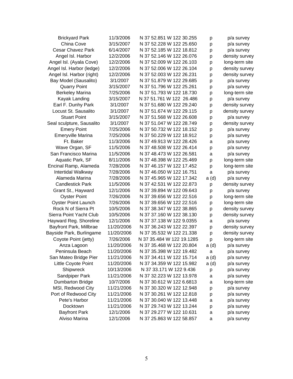| <b>Brickyard Park</b>      | 11/3/2006  | N 37 52.851 W 122 30.255  | р     | p/a survey     |
|----------------------------|------------|---------------------------|-------|----------------|
| China Cove                 | 3/15/2007  | N 37 52.228 W 122 25.650  | р     | p/a survey     |
| <b>Cesar Chavez Park</b>   | 6/14/2007  | N 37 52.185 W 122 18.812  | p     | p/a survey     |
| Angel Isl. Harbor          | 12/2/2006  | N 37 52.146 W 122 26.076  | p     | density survey |
| Angel Isl. (Ayala Cove)    | 12/2/2006  | N 37 52.009 W 122 26.103  | p     | long-term site |
| Angel Isl. Harbor (ledge)  | 12/2/2006  | N 37 52.006 W 122 26.104  | p     | density survey |
| Angel Isl. Harbor (right)  | 12/2/2006  | N 37 52.003 W 122 26.231  | p     | density survey |
| Bay Model (Sausalito)      | 3/1/2007   | N 37 51.879 W 122 29.685  | p     | p/a survey     |
| <b>Quarry Point</b>        | 3/15/2007  | N 37 51.796 W 122 25.261  | p     | p/a survey     |
| <b>Berkeley Marina</b>     | 7/25/2006  | N 37 51.793 W 122 18.730  | p     | long-term site |
| Kayak Landing              | 3/15/2007  | N 37 51.761 W 122 26.486  | р     | p/a survey     |
| Earl F. Dunhy Park         | 3/1/2007   | N 37 51.680 W 122 29.240  | p     | density survey |
| Locust St. Sausalito       | 3/1/2007   | N 37 51.674 W 122 29.115  | p     | density survey |
| <b>Stuart Point</b>        | 3/15/2007  | N 37 51.568 W 122 26.608  | p     | p/a survey     |
| Seal sculpture, Sausalito  | 3/1/2007   | N 37 51.047 W 122 28.749  | p     | density survey |
| <b>Emery Point</b>         | 7/25/2006  | N 37 50.732 W 122 18.152  | p     | p/a survey     |
| Emeryville Marina          | 7/25/2006  | N 37 50.229 W 122 18.912  | p     | p/a survey     |
| Ft. Baker                  | 11/3/2006  | N 37 49.913 W 122 28.426  | а     | p/a survey     |
| Wave Organ, SF             | 11/5/2006  | N 37 48.508 W 122 26.414  | р     | p/a survey     |
| San Francisco Marina       | 11/5/2006  | N 37 48.473 W 122 26.581  | a     | p/a survey     |
| Aquatic Park, SF           | 8/11/2006  | N 37 48.398 W 122 25.469  | p     | long-term site |
| Encinal Ramp, Alameda      | 7/28/2006  | N 37 46.157 W 122 17.452  | p     | long-term site |
| Intertidal Walkway         | 7/28/2006  | N 37 46.050 W 122 16.751  | a     | p/a survey     |
| Alameda Marina             | 7/28/2006  | N 37 45.965 W 122 17.342  | a(d)  | p/a survey     |
| <b>Candlestick Park</b>    | 11/5/2006  | N 37 42.531 W 122 22.873  | p     | density survey |
| Grant St., Hayward         | 12/1/2006  | N 37 39.894 W 122 09.643  | р     | p/a survey     |
| <b>Oyster Point</b>        | 7/26/2006  | N 37 39.656 W 122 22.516  | p     | long-term site |
| <b>Oyster Point Launch</b> | 7/26/2006  | N 37 39.656 W 122 22.516  | p     | long-term site |
| Rock N of Sierra Pt        | 10/5/2006  | N 37 38.347 W 122 38.865  | p     | density survey |
| Sierra Point Yacht Club    | 10/5/2006  | N 37 37.160 W 122 38.130  | p     | density survey |
| Hayward Reg. Shoreline     | 12/1/2006  | N 37 37 138 W 122 9 0355  | a     | p/a survey     |
| Bayfront Park, Millbrae    | 11/20/2006 | N 37 36.243 W 122 22.397  | p     | density survey |
| Bayside Park, Burlingame   | 11/20/2006 | N 37 35.532 W 122 21.338  | p     | density survey |
| Coyote Point (jetty)       | 7/26/2006  | N 37 35.484 W 122 19.1285 | p     | long-term site |
| Anza Lagoon                | 11/20/2006 | N 37 35.468 W 122 20.804  | a (d) | p/a survey     |
| Peninsula Beach            | 11/20/2006 | N 37 35.398 W 122 19.482  | a     | p/a survey     |
| San Mateo Bridge Pier      | 11/21/2006 | N 37 34.411 W 122 15.714  | a(d)  | p/a survey     |
| Little Coyote Point        | 11/20/2006 | N 37 34.359 W 122 15.982  | a(d)  | p/a survey     |
| Shipwreck                  | 10/13/2006 | N 37 33.171 W 122 9.436   | p     | p/a survey     |
| Sandpiper Park             | 11/21/2006 | N 37 32.223 W 122 13.978  | a     | p/a survey     |
| <b>Dumbarton Bridge</b>    | 10/7/2006  | N 37 30.612 W 122 6.6813  | а     | long-term site |
| MSI, Redwood City          | 11/21/2006 | N 37 30.320 W 122 12.948  | р     | p/a survey     |
| Port of Redwood City       | 11/21/2006 | N 37 30.261 W 122 12.818  | р     | p/a survey     |
| Pete's Harbor              | 11/21/2006 | N 37 30.040 W 122 13.448  | a     | p/a survey     |
| Docktown                   | 11/21/2006 | N 37 29.743 W 122 13.244  | p     | p/a survey     |
| <b>Bayfront Park</b>       | 12/1/2006  | N 37 29.277 W 122 10.631  | a     | p/a survey     |
| Alviso Marina              | 12/1/2006  | N 37 25.863 W 122 58.857  | a     | p/a survey     |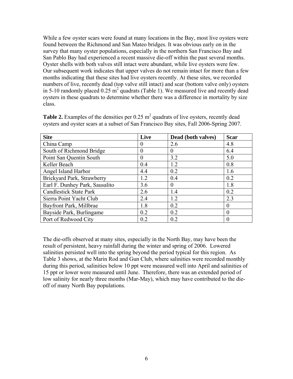While a few oyster scars were found at many locations in the Bay, most live oysters were found between the Richmond and San Mateo bridges. It was obvious early on in the survey that many oyster populations, especially in the northern San Francisco Bay and San Pablo Bay had experienced a recent massive die-off within the past several months. Oyster shells with both valves still intact were abundant, while live oysters were few. Our subsequent work indicates that upper valves do not remain intact for more than a few months indicating that these sites had live oysters recently. At these sites, we recorded numbers of live, recently dead (top valve still intact) and scar (bottom valve only) oysters in 5-10 randomly placed  $0.25 \text{ m}^2$  quadrats (Table 1). We measured live and recently dead oysters in these quadrats to determine whether there was a difference in mortality by size class.

| <b>Site</b>                    | Live     | Dead (both valves) | <b>Scar</b> |
|--------------------------------|----------|--------------------|-------------|
| China Camp                     | $\theta$ | 2.6                | 4.8         |
| South of Richmond Bridge       | $\Omega$ | $\Omega$           | 6.4         |
| Point San Quentin South        | $\Omega$ | 3.2                | 5.0         |
| Keller Beach                   | 0.4      | 1.2                | 0.8         |
| Angel Island Harbor            | 4.4      | 0.2                | 1.6         |
| Brickyard Park, Strawberry     | 1.2      | 0.4                | 0.2         |
| Earl F. Dunhey Park, Sausalito | 3.6      | $\Omega$           | 1.8         |
| <b>Candlestick State Park</b>  | 2.6      | 1.4                | 0.2         |
| Sierra Point Yacht Club        | 2.4      | 1.2                | 2.3         |
| Bayfront Park, Millbrae        | 1.8      | 0.2                | $\theta$    |
| Bayside Park, Burlingame       | 0.2      | 0.2                | $\Omega$    |
| Port of Redwood City           | 0.2      | 0.2                | 0           |

**Table 2.** Examples of the densities per  $0.25 \text{ m}^2$  quadrats of live oysters, recently dead oysters and oyster scars at a subset of San Francisco Bay sites, Fall 2006-Spring 2007.

The die-offs observed at many sites, especially in the North Bay, may have been the result of persistent, heavy rainfall during the winter and spring of 2006. Lowered salinities persisted well into the spring beyond the period typical for this region. As Table 3 shows, at the Marin Rod and Gun Club, where salinities were recorded monthly during this period, salinities below 10 ppt were measured well into April and salinities of 15 ppt or lower were measured until June. Therefore, there was an extended period of low salinity for nearly three months (Mar-May), which may have contributed to the dieoff of many North Bay populations.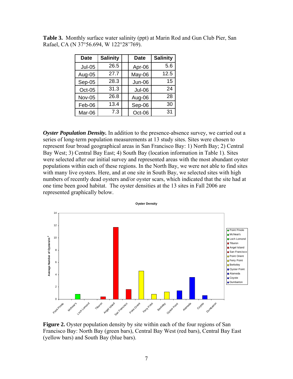| <b>Date</b>   | <b>Salinity</b> | <b>Date</b>   | <b>Salinity</b> |
|---------------|-----------------|---------------|-----------------|
| <b>Jul-05</b> | 26.5            | Apr-06        | 5.6             |
| Aug-05        | 27.7            | May-06        | 12.5            |
| $Sep-05$      | 28.3            | <b>Jun-06</b> | 15              |
| Oct-05        | 31.3            | <b>Jul-06</b> | 24              |
| <b>Nov-05</b> | 26.8            | Aug-06        | 28              |
| Feb-06        | 13.4            | Sep-06        | 30              |
| Mar-06        | 7.3             | Oct-06        | 31              |

**Table 3.** Monthly surface water salinity (ppt) at Marin Rod and Gun Club Pier, San Rafael, CA (N 37°56.694, W 122°28'769).

*Oyster Population Density.* In addition to the presence-absence survey, we carried out a series of long-term population measurements at 13 study sites. Sites were chosen to represent four broad geographical areas in San Francisco Bay: 1) North Bay; 2) Central Bay West; 3) Central Bay East; 4) South Bay (location information in Table 1). Sites were selected after our initial survey and represented areas with the most abundant oyster populations within each of these regions. In the North Bay, we were not able to find sites with many live oysters. Here, and at one site in South Bay, we selected sites with high numbers of recently dead oysters and/or oyster scars, which indicated that the site had at one time been good habitat. The oyster densities at the 13 sites in Fall 2006 are represented graphically below.



**Figure 2.** Oyster population density by site within each of the four regions of San Francisco Bay: North Bay (green bars), Central Bay West (red bars), Central Bay East (yellow bars) and South Bay (blue bars).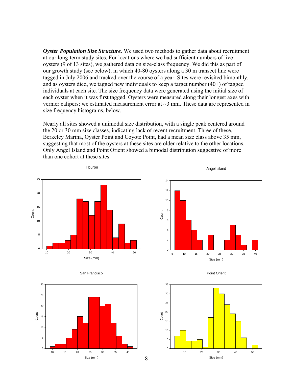*Oyster Population Size Structure.* We used two methods to gather data about recruitment at our long-term study sites. For locations where we had sufficient numbers of live oysters (9 of 13 sites), we gathered data on size-class frequency. We did this as part of our growth study (see below), in which 40-80 oysters along a 30 m transect line were tagged in July 2006 and tracked over the course of a year. Sites were revisited bimonthly, and as oysters died, we tagged new individuals to keep a target number (40+) of tagged individuals at each site. The size frequency data were generated using the initial size of each oyster when it was first tagged. Oysters were measured along their longest axes with vernier calipers; we estimated measurement error at  $\sim$ 3 mm. These data are represented in size frequency histograms, below.

Nearly all sites showed a unimodal size distribution, with a single peak centered around the 20 or 30 mm size classes, indicating lack of recent recruitment. Three of these, Berkeley Marina, Oyster Point and Coyote Point, had a mean size class above 35 mm, suggesting that most of the oysters at these sites are older relative to the other locations. Only Angel Island and Point Orient showed a bimodal distribution suggestive of more than one cohort at these sites.



Tiburon









Point Orient

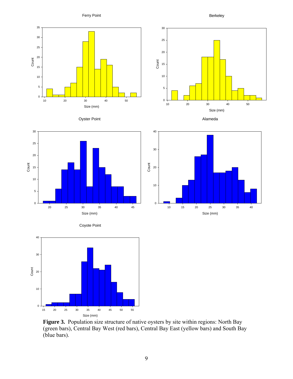Ferry Point

Berkeley



Oyster Point











Figure 3. Population size structure of native oysters by site within regions: North Bay (green bars), Central Bay West (red bars), Central Bay East (yellow bars) and South Bay (blue bars).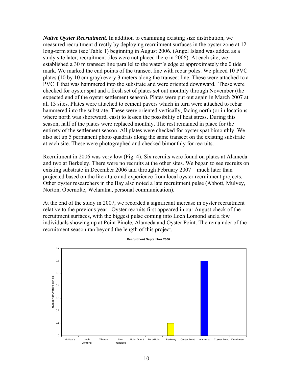*Native Oyster Recruitment.* In addition to examining existing size distribution, we measured recruitment directly by deploying recruitment surfaces in the oyster zone at 12 long-term sites (see Table 1) beginning in August 2006. (Angel Island was added as a study site later; recruitment tiles were not placed there in 2006). At each site, we established a 30 m transect line parallel to the water's edge at approximately the 0 tide mark. We marked the end points of the transect line with rebar poles. We placed 10 PVC plates (10 by 10 cm gray) every 3 meters along the transect line. These were attached to a PVC T that was hammered into the substrate and were oriented downward. These were checked for oyster spat and a fresh set of plates set out monthly through November (the expected end of the oyster settlement season). Plates were put out again in March 2007 at all 13 sites. Plates were attached to cement pavers which in turn were attached to rebar hammered into the substrate. These were oriented vertically, facing north (or in locations where north was shoreward, east) to lessen the possibility of heat stress. During this season, half of the plates were replaced monthly. The rest remained in place for the entirety of the settlement season. All plates were checked for oyster spat bimonthly. We also set up 5 permanent photo quadrats along the same transect on the existing substrate at each site. These were photographed and checked bimonthly for recruits.

Recruitment in 2006 was very low (Fig. 4). Six recruits were found on plates at Alameda and two at Berkeley. There were no recruits at the other sites. We began to see recruits on existing substrate in December 2006 and through February 2007 – much later than projected based on the literature and experience from local oyster recruitment projects. Other oyster researchers in the Bay also noted a late recruitment pulse (Abbott, Mulvey, Norton, Obernolte, Welaratna, personal communication).

At the end of the study in 2007, we recorded a significant increase in oyster recruitment relative to the previous year. Oyster recruits first appeared in our August check of the recruitment surfaces, with the biggest pulse coming into Loch Lomond and a few individuals showing up at Point Pinole, Alameda and Oyster Point. The remainder of the recruitment season ran beyond the length of this project.

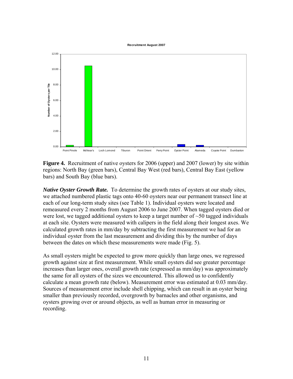#### **Recruitment August 2007**



**Figure 4.** Recruitment of native oysters for 2006 (upper) and 2007 (lower) by site within regions: North Bay (green bars), Central Bay West (red bars), Central Bay East (yellow bars) and South Bay (blue bars).

*Native Oyster Growth Rate.* To determine the growth rates of oysters at our study sites, we attached numbered plastic tags onto 40-60 oysters near our permanent transect line at each of our long-term study sites (see Table 1). Individual oysters were located and remeasured every 2 months from August 2006 to June 2007. When tagged oysters died or were lost, we tagged additional oysters to keep a target number of  $\sim$ 50 tagged individuals at each site. Oysters were measured with calipers in the field along their longest axes. We calculated growth rates in mm/day by subtracting the first measurement we had for an individual oyster from the last measurement and dividing this by the number of days between the dates on which these measurements were made (Fig. 5).

As small oysters might be expected to grow more quickly than large ones, we regressed growth against size at first measurement. While small oysters did see greater percentage increases than larger ones, overall growth rate (expressed as mm/day) was approximately the same for all oysters of the sizes we encountered. This allowed us to confidently calculate a mean growth rate (below). Measurement error was estimated at 0.03 mm/day. Sources of measurement error include shell chipping, which can result in an oyster being smaller than previously recorded, overgrowth by barnacles and other organisms, and oysters growing over or around objects, as well as human error in measuring or recording.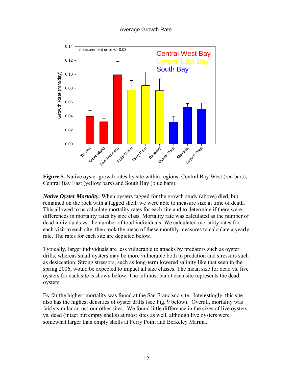## Average Growth Rate



**Figure 5.** Native oyster growth rates by site within regions: Central Bay West (red bars), Central Bay East (yellow bars) and South Bay (blue bars).

*Native Oyster Mortality.* When oysters tagged for the growth study (above) died, but remained on the rock with a tagged shell, we were able to measure size at time of death. This allowed to us calculate mortality rates for each site and to determine if there were differences in mortality rates by size class. Mortality rate was calculated as the number of dead individuals vs. the number of total individuals. We calculated mortality rates for each visit to each site, then took the mean of these monthly measures to calculate a yearly rate. The rates for each site are depicted below.

Typically, larger individuals are less vulnerable to attacks by predators such as oyster drills, whereas small oysters may be more vulnerable both to predation and stressors such as desiccation. Strong stressors, such as long-term lowered salinity like that seen in the spring 2006, would be expected to impact all size classes. The mean size for dead vs. live oysters for each site is shown below. The leftmost bar at each site represents the dead oysters.

By far the highest mortality was found at the San Francisco site. Interestingly, this site also has the highest densities of oyster drills (see Fig. 9 below). Overall, mortality was fairly similar across our other sites. We found little difference in the sizes of live oysters vs. dead (intact but empty shells) at most sites as well, although live oysters were somewhat larger than empty shells at Ferry Point and Berkeley Marina.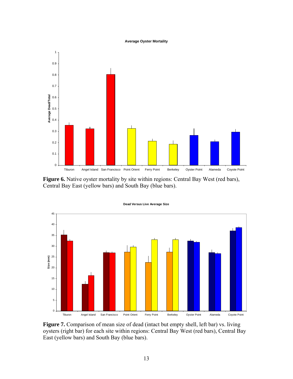#### **Average Oyster Mortality**



Figure 6. Native oyster mortality by site within regions: Central Bay West (red bars), Central Bay East (yellow bars) and South Bay (blue bars).



**Dead Versus Live Average Size**

Figure 7. Comparison of mean size of dead (intact but empty shell, left bar) vs. living oysters (right bar) for each site within regions: Central Bay West (red bars), Central Bay East (yellow bars) and South Bay (blue bars).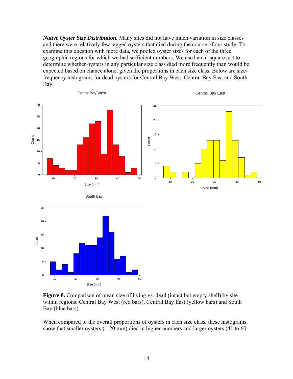*Native Oyster Size Distribution.* Many sites did not have much variation in size classes and there were relatively few tagged oysters that died during the course of our study. To examine this question with more data, we pooled oyster sizes for each of the three geographic regions for which we had sufficient numbers. We used a chi-square test to determine whether oysters in any particular size class died more frequently than would be expected based on chance alone, given the proportions in each size class. Below are sizefrequency histograms for dead oysters for Central Bay West, Central Bay East and South Bay.





When compared to the overall proportions of oysters in each size class, these histograms show that smaller oysters (1-20 mm) died in higher numbers and larger oysters (41 to 60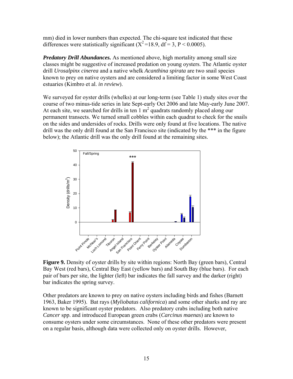mm) died in lower numbers than expected. The chi-square test indicated that these differences were statistically significant  $(X^2=18.9, df=3, P < 0.0005)$ .

*Predatory Drill Abundances.* As mentioned above, high mortality among small size classes might be suggestive of increased predation on young oysters. The Atlantic oyster drill *Urosalpinx cinerea* and a native whelk *Acanthina spirata* are two snail species known to prey on native oysters and are considered a limiting factor in some West Coast estuaries (Kimbro et al. *in review*).

We surveyed for oyster drills (whelks) at our long-term (see Table 1) study sites over the course of two minus-tide series in late Sept-early Oct 2006 and late May-early June 2007. At each site, we searched for drills in ten  $1 \text{ m}^2$  quadrats randomly placed along our permanent transects. We turned small cobbles within each quadrat to check for the snails on the sides and undersides of rocks. Drills were only found at five locations. The native drill was the only drill found at the San Francisco site (indicated by the \*\*\* in the figure below); the Atlantic drill was the only drill found at the remaining sites.



**Figure 9.** Density of oyster drills by site within regions: North Bay (green bars), Central Bay West (red bars), Central Bay East (yellow bars) and South Bay (blue bars). For each pair of bars per site, the lighter (left) bar indicates the fall survey and the darker (right) bar indicates the spring survey.

Other predators are known to prey on native oysters including birds and fishes (Barnett 1963, Baker 1995). Bat rays (*Myliobatus californica*) and some other sharks and ray are known to be significant oyster predators. Also predatory crabs including both native *Cancer* spp. and introduced European green crabs (*Carcinus maenas*) are known to consume oysters under some circumstances. None of these other predators were present on a regular basis, although data were collected only on oyster drills. However,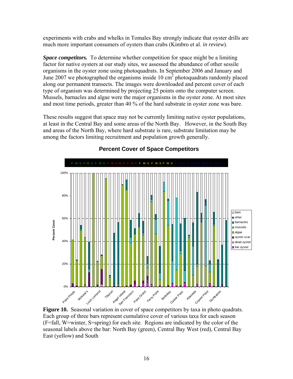experiments with crabs and whelks in Tomales Bay strongly indicate that oyster drills are much more important consumers of oysters than crabs (Kimbro et al. *in review*).

*Space competitors.* To determine whether competition for space might be a limiting factor for native oysters at our study sites, we assessed the abundance of other sessile organisms in the oyster zone using photoquadrats. In September 2006 and January and June 2007 we photographed the organisms inside  $10 \text{ cm}^2$  photoquadrats randomly placed along our permanent transects. The images were downloaded and percent cover of each type of organism was determined by projecting 25 points onto the computer screen. Mussels, barnacles and algae were the major organisms in the oyster zone. At most sites and most time periods, greater than 40 % of the hard substrate in oyster zone was bare.

These results suggest that space may not be currently limiting native oyster populations, at least in the Central Bay and some areas of the North Bay. However, in the South Bay and areas of the North Bay, where hard substrate is rare, substrate limitation may be among the factors limiting recruitment and population growth generally.



# **Percent Cover of Space Competitors**

**Figure 10.** Seasonal variation in cover of space competitors by taxa in photo quadrats. Each group of three bars represent cumulative cover of various taxa for each season (F=fall, W=winter, S=spring) for each site. Regions are indicated by the color of the seasonal labels above the bar: North Bay (green), Central Bay West (red), Central Bay East (yellow) and South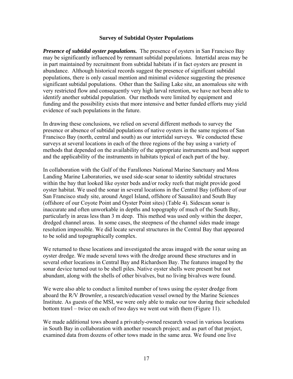#### **Survey of Subtidal Oyster Populations**

*Presence of subtidal oyster populations.* The presence of oysters in San Francisco Bay may be significantly influenced by remnant subtidal populations. Intertidal areas may be in part maintained by recruitment from subtidal habitats if in fact oysters are present in abundance. Although historical records suggest the presence of significant subtidal populations, there is only casual mention and minimal evidence suggesting the presence significant subtidal populations. Other than the Sailing Lake site, an anomalous site with very restricted flow and consequently very high larval retention, we have not been able to identify another subtidal population. Our methods were limited by equipment and funding and the possibility exists that more intensive and better funded efforts may yield evidence of such populations in the future.

In drawing these conclusions, we relied on several different methods to survey the presence or absence of subtidal populations of native oysters in the same regions of San Francisco Bay (north, central and south) as our intertidal surveys. We conducted these surveys at several locations in each of the three regions of the bay using a variety of methods that depended on the availability of the appropriate instruments and boat support and the applicability of the instruments in habitats typical of each part of the bay.

In collaboration with the Gulf of the Farallones National Marine Sanctuary and Moss Landing Marine Laboratories, we used side-scar sonar to identity subtidal structures within the bay that looked like oyster beds and/or rocky reefs that might provide good oyster habitat. We used the sonar in several locations in the Central Bay (offshore of our San Francisco study site, around Angel Island, offshore of Sausalito) and South Bay (offshore of our Coyote Point and Oyster Point sites) (Table 4). Sidescan sonar is inaccurate and often unworkable in depths and topography of much of the South Bay, particularly in areas less than 3 m deep. This method was used only within the deeper, dredged channel areas. In some cases, the steepness of the channel sides made image resolution impossible. We did locate several structures in the Central Bay that appeared to be solid and topographically complex.

We returned to these locations and investigated the areas imaged with the sonar using an oyster dredge. We made several tows with the dredge around these structures and in several other locations in Central Bay and Richardson Bay. The features imaged by the sonar device turned out to be shell piles. Native oyster shells were present but not abundant, along with the shells of other bivalves, but no living bivalves were found.

We were also able to conduct a limited number of tows using the oyster dredge from aboard the R/V *Brownlee,* a research/education vessel owned by the Marine Sciences Institute. As guests of the MSI, we were only able to make our tow during their scheduled bottom trawl – twice on each of two days we went out with them (Figure 11).

We made additional tows aboard a privately-owned research vessel in various locations in South Bay in collaboration with another research project; and as part of that project, examined data from dozens of other tows made in the same area. We found one live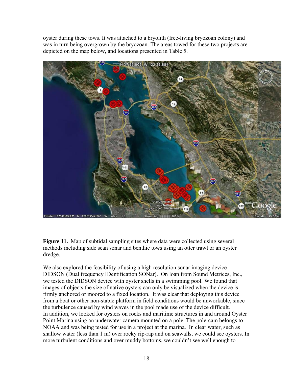oyster during these tows. It was attached to a bryolith (free-living bryozoan colony) and was in turn being overgrown by the bryozoan. The areas towed for these two projects are depicted on the map below, and locations presented in Table 5.



**Figure 11.** Map of subtidal sampling sites where data were collected using several methods including side scan sonar and benthic tows using an otter trawl or an oyster dredge.

We also explored the feasibility of using a high resolution sonar imaging device DIDSON (Dual frequency IDentification SONar). On loan from Sound Metrices, Inc., we tested the DIDSON device with oyster shells in a swimming pool. We found that images of objects the size of native oysters can only be visualized when the device is firmly anchored or moored to a fixed location. It was clear that deploying this device from a boat or other non-stable platform in field conditions would be unworkable, since the turbulence caused by wind waves in the pool made use of the device difficult. In addition, we looked for oysters on rocks and maritime structures in and around Oyster Point Marina using an underwater camera mounted on a pole. The pole-cam belongs to NOAA and was being tested for use in a project at the marina. In clear water, such as shallow water (less than 1 m) over rocky rip-rap and on seawalls, we could see oysters. In more turbulent conditions and over muddy bottoms, we couldn't see well enough to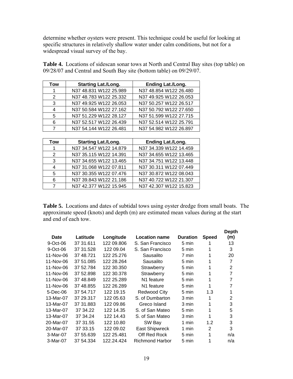determine whether oysters were present. This technique could be useful for looking at specific structures in relatively shallow water under calm conditions, but not for a widespread visual survey of the bay.

**Table 4.** Locations of sidescan sonar tows at North and Central Bay sites (top table) on 09/28/07 and Central and South Bay site (bottom table) on 09/29/07.

| <b>Tow</b> | <b>Starting Lat./Long.</b> | <b>Ending Lat./Long.</b> |
|------------|----------------------------|--------------------------|
|            | N37 48.831 W122 25.989     | N37 48.854 W122 26.480   |
| 2          | N37 48.783 W122 25.332     | N37 49.925 W122 26.053   |
| 3          | N37 49.925 W122 26.053     | N37 50.257 W122 26.517   |
| 4          | N37 50.584 W122 27.162     | N37 50.792 W122 27.650   |
| 5          | N37 51.229 W122 28.127     | N37 51.599 W122 27.715   |
| 6          | N37 52.517 W122 26.439     | N37 52.514 W122 25.791   |
|            | N37 54.144 W122 26.481     | N37 54.982 W122 26.897   |

| Tow | <b>Starting Lat./Long.</b> | <b>Ending Lat./Long.</b> |
|-----|----------------------------|--------------------------|
|     | N37 34.547 W122 14.879     | N37 34.339 W122 14.459   |
| 2   | N37 35.115 W122 14.391     | N37 34.655 W122 13.465   |
| 3   | N37 34.655 W122 13.465     | N37 34.751 W122 13.448   |
| 4   | N37 31.068 W122 07.811     | N37 30.311 W122 07.449   |
| 5   | N37 30.355 W122 07.476     | N37 30.872 W122 08.043   |
| 6   | N37 39.843 W122 21.186     | N37 40.722 W122 21.307   |
|     | N37 42.377 W122 15.945     | N37 42.307 W122 15.823   |

**Table 5.** Locations and dates of subtidal tows using oyster dredge from small boats. The approximate speed (knots) and depth (m) are estimated mean values during at the start and end of each tow.

| Date        | Latitude  | Longitude  | <b>Location name</b>   | <b>Duration</b> | <b>Speed</b>   | <b>Depth</b><br>(m) |
|-------------|-----------|------------|------------------------|-----------------|----------------|---------------------|
| $9$ -Oct-06 | 37 31 611 | 122 09.806 | S. San Francisco       | 5 min           | 1              | 13                  |
| $9-Oct-06$  | 37 31 528 | 122 09.04  | S. San Francisco       | 5 min           | 1              | 3                   |
| 11-Nov-06   | 37 48.721 | 122 25.276 | Sausalito              | 7 min           | 1              | 20                  |
| 11-Nov-06   | 37 51.085 | 122 28.264 | Sausalito              | 5 min           | 1              | $\overline{7}$      |
| 11-Nov-06   | 37 52.784 | 122 30.350 | Strawberry             | 5 min           | 1              | $\overline{2}$      |
| 11-Nov-06   | 37 52.898 | 122 30.378 | Strawberry             | 5 min           | 1              | 7                   |
| 11-Nov-06   | 37 48.849 | 122 25.289 | N <sub>1</sub> feature | 5 min           | 1              | 7                   |
| 11-Nov-06   | 37 48.855 | 122 26.289 | N <sub>1</sub> feature | 5 min           | 1              | 7                   |
| 5-Dec-06    | 37 54.717 | 122 19.15  | Redwood City           | 5 min           | 1.3            | 1                   |
| 13-Mar-07   | 37 29.317 | 122 05.63  | S. of Dumbarton        | 3 min           | 1              | 2                   |
| 13-Mar-07   | 37 31.883 | 122 09.86  | Greco Island           | 3 min           | 1              | 3                   |
| 13-Mar-07   | 37 34.22  | 122 14.35  | S. of San Mateo        | 5 min           | 1              | 5                   |
| 13-Mar-07   | 37 34.24  | 122 14.43  | S. of San Mateo        | 3 min           | 1              | 3                   |
| 20-Mar-07   | 37 31.55  | 122 10.80  | SW Bay                 | 1 min           | 1.2            | 3                   |
| 20-Mar-07   | 37 33.15  | 122 09.02  | East Shipwreck         | 1 min           | $\overline{2}$ | 3                   |
| 3-Mar-07    | 37 55.639 | 122 25.481 | Off Red Rock           | 5 min           | 1              | n/a                 |
| 3-Mar-07    | 37 54.334 | 122.24.424 | <b>Richmond Harbor</b> | 5 min           | 1              | n/a                 |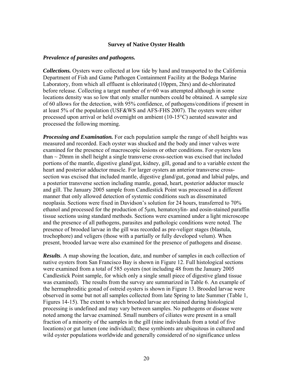#### **Survey of Native Oyster Health**

#### *Prevalence of parasites and pathogens.*

*Collections.* Oysters were collected at low tide by hand and transported to the California Department of Fish and Game Pathogen Containment Facility at the Bodega Marine Laboratory, from which all effluent is chlorinated (10ppm, 2hrs) and de-chlorinated before release. Collecting a target number of n=60 was attempted although in some locations density was so low that only smaller numbers could be obtained. A sample size of 60 allows for the detection, with 95% confidence, of pathogens/conditions if present in at least 5% of the population (USF&WS and AFS-FHS 2007). The oysters were either processed upon arrival or held overnight on ambient (10-15°C) aerated seawater and processed the following morning.

*Processing and Examination.* For each population sample the range of shell heights was measured and recorded. Each oyster was shucked and the body and inner valves were examined for the presence of macroscopic lesions or other conditions. For oysters less than  $\sim$  20mm in shell height a single transverse cross-section was excised that included portions of the mantle, digestive gland/gut, kidney, gill, gonad and to a variable extent the heart and posterior adductor muscle. For larger oysters an anterior transverse crosssection was excised that included mantle, digestive gland/gut, gonad and labial palps, and a posterior transverse section including mantle, gonad, heart, posterior adductor muscle and gill. The January 2005 sample from Candlestick Point was processed in a different manner that only allowed detection of systemic conditions such as disseminated neoplasia. Sections were fixed in Davidson's solution for 24 hours, transferred to 70% ethanol and processed for the production of 5µm, hematoxylin- and eosin-stained paraffin tissue sections using standard methods. Sections were examined under a light microscope and the presence of all pathogens, parasites and pathologic conditions were noted. The presence of brooded larvae in the gill was recorded as pre-veliger stages (blastula, trochophore) and veligers (those with a partially or fully developed velum). When present, brooded larvae were also examined for the presence of pathogens and disease.

*Results.* A map showing the location, date, and number of samples in each collection of native oysters from San Francisco Bay is shown in Figure 12. Full histological sections were examined from a total of 585 oysters (not including 48 from the January 2005 Candlestick Point sample, for which only a single small piece of digestive gland tissue was examined). The results from the survey are summarized in Table 6. An example of the hermaphroditic gonad of ostreid oysters is shown in Figure 13. Brooded larvae were observed in some but not all samples collected from late Spring to late Summer (Table 1, Figures 14-15). The extent to which brooded larvae are retained during histological processing is undefined and may vary between samples. No pathogens or disease were noted among the larvae examined. Small numbers of ciliates were present in a small fraction of a minority of the samples in the gill (nine individuals from a total of five locations) or gut lumen (one individual); these symbionts are ubiquitous in cultured and wild oyster populations worldwide and generally considered of no significance unless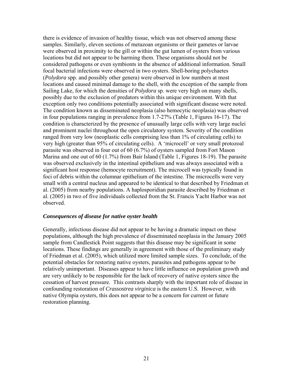there is evidence of invasion of healthy tissue, which was not observed among these samples. Similarly, eleven sections of metazoan organisms or their gametes or larvae were observed in proximity to the gill or within the gut lumen of oysters from various locations but did not appear to be harming them. These organisms should not be considered pathogens or even symbionts in the absence of additional information. Small focal bacterial infections were observed in two oysters. Shell-boring polychaetes (*Polydora* spp. and possibly other genera) were observed in low numbers at most locations and caused minimal damage to the shell, with the exception of the sample from Sailing Lake, for which the densities of *Polydora* sp. were very high on many shells, possibly due to the exclusion of predators within this unique environment. With that exception only two conditions potentially associated with significant disease were noted. The condition known as disseminated neoplasia (also hemocytic neoplasia) was observed in four populations ranging in prevalence from 1.7-27% (Table 1, Figures 16-17). The condition is characterized by the presence of unusually large cells with very large nuclei and prominent nuclei throughout the open circulatory system. Severity of the condition ranged from very low (neoplastic cells comprising less than 1% of circulating cells) to very high (greater than 95% of circulating cells). A 'microcell' or very small protozoal parasite was observed in four out of 60 (6.7%) of oysters sampled from Fort Mason Marina and one out of 60 (1.7%) from Bair Island (Table 1, Figures 18-19). The parasite was observed exclusively in the intestinal epithelium and was always associated with a significant host response (hemocyte recruitment). The microcell was typically found in foci of debris within the columnar epithelium of the intestine. The microcells were very small with a central nucleus and appeared to be identical to that described by Friedman et al. (2005) from nearby populations. A haplosporidian parasite described by Friedman et al. (2005) in two of five individuals collected from the St. Francis Yacht Harbor was not observed.

#### *Consequences of disease for native oyster health*

Generally, infectious disease did not appear to be having a dramatic impact on these populations, although the high prevalence of disseminated neoplasia in the January 2005 sample from Candlestick Point suggests that this disease may be significant in some locations. These findings are generally in agreement with those of the preliminary study of Friedman et al. (2005), which utilized more limited sample sizes. To conclude, of the potential obstacles for restoring native oysters, parasites and pathogens appear to be relatively unimportant. Diseases appear to have little influence on population growth and are very unlikely to be responsible for the lack of recovery of native oysters since the cessation of harvest pressure. This contrasts sharply with the important role of disease in confounding restoration of *Crassostrea virginica* is the eastern U.S. However, with native Olympia oysters, this does not appear to be a concern for current or future restoration planning.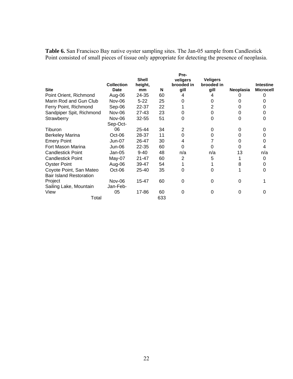**Table 6.** San Francisco Bay native oyster sampling sites. The Jan-05 sample from Candlestick Point consisted of small pieces of tissue only appropriate for detecting the presence of neoplasia.

| <b>Site</b>                                               | <b>Collection</b><br><b>Date</b> | <b>Shell</b><br>height,<br>mm | N   | Pre-<br>veligers<br>brooded in<br>gill | <b>Veligers</b><br>brooded in<br>gill | Neoplasia | <b>Intestine</b><br><b>Microcell</b> |
|-----------------------------------------------------------|----------------------------------|-------------------------------|-----|----------------------------------------|---------------------------------------|-----------|--------------------------------------|
| Point Orient, Richmond                                    | Aug-06                           | 24-35                         | 60  | 4                                      | 4                                     |           |                                      |
| Marin Rod and Gun Club                                    | Nov-06                           | $5 - 22$                      | 25  | 0                                      | 0                                     |           |                                      |
| Ferry Point, Richmond                                     | Sep-06                           | 22-37                         | 22  |                                        | 2                                     |           |                                      |
| Sandpiper Spit, Richmond                                  | Nov-06                           | $27 - 43$                     | 23  | 0                                      | 0                                     | 0         |                                      |
| Strawberry                                                | Nov-06                           | $32 - 55$                     | 51  | 0                                      | 0                                     | 0         | 0                                    |
|                                                           | Sep-Oct-                         |                               |     |                                        |                                       |           |                                      |
| Tiburon                                                   | 06                               | 25-44                         | 34  | 2                                      | 0                                     | 0         |                                      |
| <b>Berkeley Marina</b>                                    | $Oct-06$                         | 28-37                         | 11  | 0                                      | 0                                     |           |                                      |
| <b>Emery Point</b>                                        | <b>Jun-07</b>                    | 26-47                         | 30  | 4                                      |                                       |           |                                      |
| Fort Mason Marina                                         | Jun-06                           | 22-35                         | 60  | O                                      | 0                                     |           |                                      |
| <b>Candlestick Point</b>                                  | $Jan-05$                         | $9 - 40$                      | 48  | n/a                                    | n/a                                   | 13        | n/a                                  |
| <b>Candlestick Point</b>                                  | May-07                           | $21 - 47$                     | 60  | $\overline{2}$                         | 5                                     |           | 0                                    |
| <b>Oyster Point</b>                                       | Aug-06                           | 39-47                         | 54  |                                        |                                       | 8         |                                      |
| Coyote Point, San Mateo<br><b>Bair Island Restoration</b> | $Oct-06$                         | 25-40                         | 35  | 0                                      | 0                                     |           | O                                    |
| Project                                                   | Nov-06                           | 15-47                         | 60  | 0                                      | 0                                     | $\Omega$  |                                      |
| Sailing Lake, Mountain                                    | Jan-Feb-                         |                               |     |                                        |                                       |           |                                      |
| View                                                      | 05                               | 17-86                         | 60  | 0                                      | 0                                     | 0         | 0                                    |
| Total                                                     |                                  |                               | 633 |                                        |                                       |           |                                      |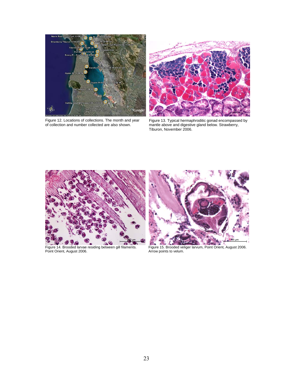

Figure 12. Locations of collections. The month and year of collection and number collected are also shown.



Figure 13. Typical hermaphroditic gonad encompassed by mantle above and digestive gland below. Strawberry, Tiburon, November 2006.



Point Orient, August 2006.<br>Point Orient, August 2006.



Figure 15. Brooded veliger larvum, Point Orient, August 2006.<br>Arrow points to velum.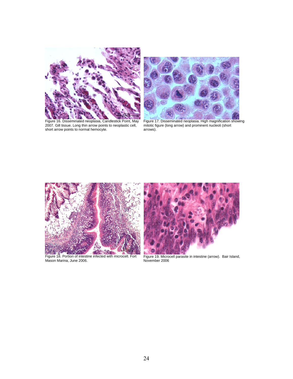

2007. Gill tissue. Long thin arrow points to neoplastic cell, mitotic figure (long arrow) and prominent nucleoli (short short arrow points to normal hemocyte. The same arrows).



Figure 17. Disseminated neoplasia. High magnification showing<br>mitotic figure (long arrow) and prominent nucleoli (short<br>arrows).



Figure 18. Portion of intestine infected with microcell. Fort Mason Marina, June 2006.



Figure 19. Microcell parasite in intestine (arrow). Bair Island, November 2006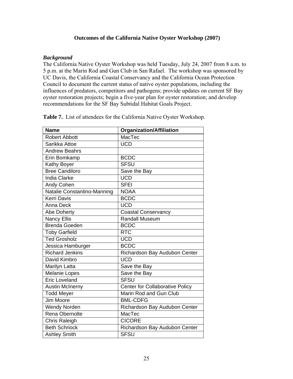#### **Outcomes of the California Native Oyster Workshop (2007)**

#### *Background*

The California Native Oyster Workshop was held Tuesday, July 24, 2007 from 8 a.m. to 5 p.m. at the Marin Rod and Gun Club in San Rafael. The workshop was sponsored by UC Davis, the California Coastal Conservancy and the California Ocean Protection Council to document the current status of native oyster populations, including the influences of predators, competitors and pathogens; provide updates on current SF Bay oyster restoration projects; begin a five-year plan for oyster restoration; and develop recommendations for the SF Bay Subtidal Habitat Goals Project.

| <b>Name</b>                 | <b>Organization/Affiliation</b>        |
|-----------------------------|----------------------------------------|
| <b>Robert Abbott</b>        | MacTec                                 |
| Sarikka Attoe               | <b>UCD</b>                             |
| <b>Andrew Beahrs</b>        |                                        |
| Erin Bomkamp                | <b>BCDC</b>                            |
| Kathy Boyer                 | <b>SFSU</b>                            |
| <b>Bree Candiloro</b>       | Save the Bay                           |
| <b>India Clarke</b>         | <b>UCD</b>                             |
| Andy Cohen                  | <b>SFEI</b>                            |
| Natalie Constantino-Manning | <b>NOAA</b>                            |
| <b>Kerri Davis</b>          | <b>BCDC</b>                            |
| Anna Deck                   | <b>UCD</b>                             |
| Abe Doherty                 | <b>Coastal Conservancy</b>             |
| <b>Nancy Ellis</b>          | <b>Randall Museum</b>                  |
| <b>Brenda Goeden</b>        | <b>BCDC</b>                            |
| <b>Toby Garfield</b>        | <b>RTC</b>                             |
| <b>Ted Grosholz</b>         | <b>UCD</b>                             |
| Jessica Hamburger           | <b>BCDC</b>                            |
| <b>Richard Jenkins</b>      | Richardson Bay Audubon Center          |
| David Kimbro                | <b>UCD</b>                             |
| Marilyn Latta               | Save the Bay                           |
| <b>Melanie Lopes</b>        | Save the Bay                           |
| <b>Eric Loveland</b>        | <b>SFSU</b>                            |
| <b>Austin McInerny</b>      | <b>Center for Collaborative Policy</b> |
| <b>Todd Meyer</b>           | Marin Rod and Gun Club                 |
| Jim Moore                   | <b>BML-CDFG</b>                        |
| <b>Wendy Norden</b>         | Richardson Bay Audubon Center          |
| Rena Obernolte              | MacTec                                 |
| Chris Raleigh               | <b>CICORE</b>                          |
| <b>Beth Schriock</b>        | Richardson Bay Audubon Center          |
| <b>Ashley Smith</b>         | <b>SFSU</b>                            |

**Table 7.** List of attendees for the California Native Oyster Workshop.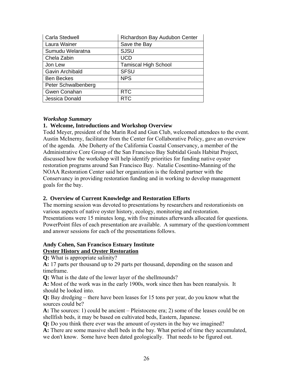| Carla Stedwell      | Richardson Bay Audubon Center |
|---------------------|-------------------------------|
| Laura Wainer        | Save the Bay                  |
| Sumudu Welaratna    | <b>SJSU</b>                   |
| Chela Zabin         | <b>UCD</b>                    |
| Jon Lew             | <b>Tamiscal High School</b>   |
| Gavin Archibald     | <b>SFSU</b>                   |
| <b>Ben Beckes</b>   | <b>NPS</b>                    |
| Peter Schwalbenberg |                               |
| Gwen Conahan        | <b>RTC</b>                    |
| Jessica Donald      | <b>RTC</b>                    |

#### *Workshop Summary*

#### **1. Welcome, Introductions and Workshop Overview**

Todd Meyer, president of the Marin Rod and Gun Club, welcomed attendees to the event. Austin McInerny, facilitator from the Center for Collaborative Policy, gave an overview of the agenda. Abe Doherty of the California Coastal Conservancy, a member of the Administrative Core Group of the San Francisco Bay Subtidal Goals Habitat Project, discussed how the workshop will help identify priorities for funding native oyster restoration programs around San Francisco Bay. Natalie Cosentino-Manning of the NOAA Restoration Center said her organization is the federal partner with the Conservancy in providing restoration funding and in working to develop management goals for the bay.

#### **2. Overview of Current Knowledge and Restoration Efforts**

The morning session was devoted to presentations by researchers and restorationists on various aspects of native oyster history, ecology, monitoring and restoration. Presentations were 15 minutes long, with five minutes afterwards allocated for questions. PowerPoint files of each presentation are available. A summary of the question/comment and answer sessions for each of the presentations follows.

#### **Andy Cohen, San Francisco Estuary Institute Oyster History and Oyster Restoration**

**Q:** What is appropriate salinity?

**A:** 17 parts per thousand up to 29 parts per thousand, depending on the season and timeframe.

**Q:** What is the date of the lower layer of the shellmounds?

**A:** Most of the work was in the early 1900s, work since then has been reanalysis. It should be looked into.

**Q:** Bay dredging – there have been leases for 15 tons per year, do you know what the sources could be?

**A:** The sources: 1) could be ancient – Pleistocene era; 2) some of the leases could be on shellfish beds, it may be based on cultivated beds, Eastern, Japanese.

**Q:** Do you think there ever was the amount of oysters in the bay we imagined?

**A:** There are some massive shell beds in the bay. What period of time they accumulated, we don't know. Some have been dated geologically. That needs to be figured out.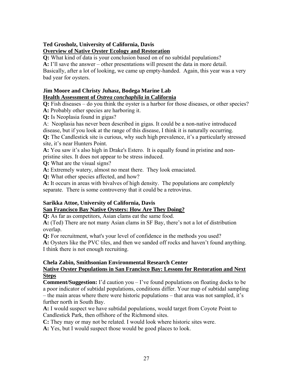# **Ted Grosholz, University of California, Davis Overview of Native Oyster Ecology and Restoration**

**Q:** What kind of data is your conclusion based on of no subtidal populations?

**A:** I'll save the answer – other presentations will present the data in more detail.

Basically, after a lot of looking, we came up empty-handed. Again, this year was a very bad year for oysters.

# **Jim Moore and Christy Juhasz, Bodega Marine Lab Health Assessment of** *Ostrea conchaphila* **in California**

**Q:** Fish diseases – do you think the oyster is a harbor for those diseases, or other species?

**A:** Probably other species are harboring it.

**Q:** Is Neoplasia found in gigas?

A: Neoplasia has never been described in gigas. It could be a non-native introduced disease, but if you look at the range of this disease, I think it is naturally occurring.

**Q:** The Candlestick site is curious, why such high prevalence, it's a particularly stressed site, it's near Hunters Point.

**A:** You saw it's also high in Drake's Estero. It is equally found in pristine and nonpristine sites. It does not appear to be stress induced.

**Q:** What are the visual signs?

**A:** Extremely watery, almost no meat there. They look emaciated.

**Q:** What other species affected, and how?

**A:** It occurs in areas with bivalves of high density. The populations are completely separate. There is some controversy that it could be a retrovirus.

# **Sarikka Attoe, University of California, Davis San Francisco Bay Native Oysters: How Are They Doing?**

**Q:** As far as competitors, Asian clams eat the same food.

**A:** (Ted) There are not many Asian clams in SF Bay, there's not a lot of distribution overlap.

**Q:** For recruitment, what's your level of confidence in the methods you used?

**A:** Oysters like the PVC tiles, and then we sanded off rocks and haven't found anything. I think there is not enough recruiting.

#### **Chela Zabin, Smithsonian Environmental Research Center Native Oyster Populations in San Francisco Bay: Lessons for Restoration and Next Steps**

**Comment/Suggestion:** I'd caution you – I've found populations on floating docks to be a poor indicator of subtidal populations, conditions differ. Your map of subtidal sampling – the main areas where there were historic populations – that area was not sampled, it's further north in South Bay.

**A:** I would suspect we have subtidal populations, would target from Coyote Point to Candlestick Park, then offshore of the Richmond sites.

**C:** They may or may not be related. I would look where historic sites were.

**A:** Yes, but I would suspect those would be good places to look.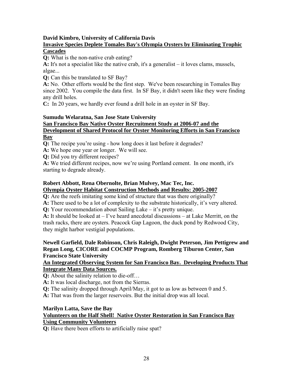# **David Kimbro, University of California Davis Invasive Species Deplete Tomales Bay's Olympia Oysters by Eliminating Trophic**

# **Cascades**

**Q:** What is the non-native crab eating?

**A:** It's not a specialist like the native crab, it's a generalist – it loves clams, mussels, algae...

**Q:** Can this be translated to SF Bay?

**A:** No. Other efforts would be the first step. We've been researching in Tomales Bay since 2002. You compile the data first. In SF Bay, it didn't seem like they were finding any drill holes.

**C:** In 20 years, we hardly ever found a drill hole in an oyster in SF Bay.

#### **Sumudu Welaratna, San Jose State University San Francisco Bay Native Oyster Recruitment Study at 2006-07 and the Development of Shared Protocol for Oyster Monitoring Efforts in San Francisco Bay**

**Q:** The recipe you're using - how long does it last before it degrades?

**A:** We hope one year or longer. We will see.

**Q:** Did you try different recipes?

**A:** We tried different recipes, now we're using Portland cement. In one month, it's starting to degrade already.

# **Robert Abbott, Rena Obernolte, Brian Mulvey, Mac Tec, Inc. Olympia Oyster Habitat Construction Methods and Results: 2005-2007**

**Q:** Are the reefs imitating some kind of structure that was there originally?

**A:** There used to be a lot of complexity to the substrate historically, it's very altered.

**Q:** Your recommendation about Sailing Lake – it's pretty unique.

**A:** It should be looked at – I've heard anecdotal discussions – at Lake Merritt, on the trash racks, there are oysters. Peacock Gap Lagoon, the duck pond by Redwood City, they might harbor vestigial populations.

## **Newell Garfield, Dale Robinson, Chris Raleigh, Dwight Peterson, Jim Pettigrew and Regan Long, CICORE and COCMP Program, Romberg Tiburon Center, San Francisco State University**

## **An Integrated Observing System for San Francisco Bay. Developing Products That Integrate Many Data Sources.**

**Q:** About the salinity relation to die-off…

**A:** It was local discharge, not from the Sierras.

**Q:** The salinity dropped through April/May, it got to as low as between 0 and 5.

**A:** That was from the larger reservoirs. But the initial drop was all local.

# **Marilyn Latta, Save the Bay**

# **Volunteers on the Half Shell! Native Oyster Restoration in San Francisco Bay Using Community Volunteers**

**Q:** Have there been efforts to artificially raise spat?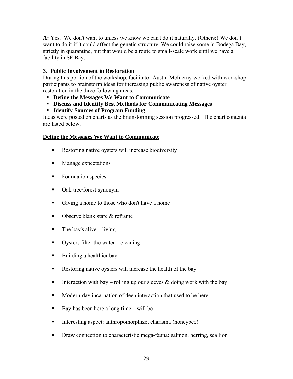**A:** Yes. We don't want to unless we know we can't do it naturally. (Others:) We don't want to do it if it could affect the genetic structure. We could raise some in Bodega Bay, strictly in quarantine, but that would be a route to small-scale work until we have a facility in SF Bay.

## **3. Public Involvement in Restoration**

During this portion of the workshop, facilitator Austin McInerny worked with workshop participants to brainstorm ideas for increasing public awareness of native oyster restoration in the three following areas:

- **Define the Messages We Want to Communicate**
- **Discuss and Identify Best Methods for Communicating Messages**
- **Identify Sources of Program Funding**

Ideas were posted on charts as the brainstorming session progressed. The chart contents are listed below.

## **Define the Messages We Want to Communicate**

- Restoring native oysters will increase biodiversity
- **Manage expectations**
- Foundation species
- Oak tree/forest synonym
- Giving a home to those who don't have a home
- Observe blank stare & reframe
- $\blacksquare$  The bay's alive living
- Oysters filter the water cleaning
- Building a healthier bay
- Restoring native oysters will increase the health of the bay
- Interaction with bay rolling up our sleeves  $\&$  doing work with the bay
- **Modern-day incarnation of deep interaction that used to be here**
- Bay has been here a long time will be
- Interesting aspect: anthropomorphize, charisma (honeybee)
- **Draw connection to characteristic mega-fauna: salmon, herring, sea lion**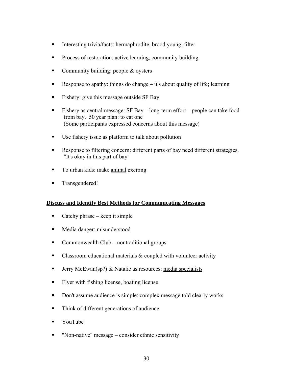- Interesting trivia/facts: hermaphrodite, brood young, filter
- **Process of restoration: active learning, community building**
- Community building: people & oysters
- Response to apathy: things do change it's about quality of life; learning
- Fishery: give this message outside SF Bay
- Fishery as central message: SF Bay long-term effort people can take food from bay. 50 year plan: to eat one (Some participants expressed concerns about this message)
- Use fishery issue as platform to talk about pollution
- Response to filtering concern: different parts of bay need different strategies. "It's okay in this part of bay"
- To urban kids: make animal exciting
- Transgendered!

## **Discuss and Identify Best Methods for Communicating Messages**

- Catchy phrase keep it simple
- **Media danger: misunderstood**
- Commonwealth Club nontraditional groups
- Classroom educational materials  $&$  coupled with volunteer activity
- **Jerry McEwan(sp?) & Natalie as resources: media specialists**
- Flyer with fishing license, boating license
- Don't assume audience is simple: complex message told clearly works
- Think of different generations of audience
- **Text** YouTube
- "Non-native" message consider ethnic sensitivity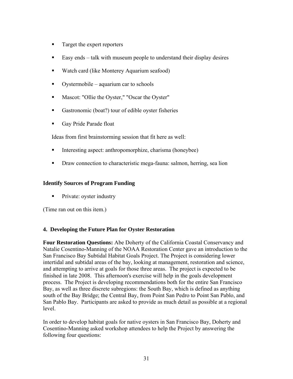- Target the expert reporters
- Easy ends talk with museum people to understand their display desires
- Watch card (like Monterey Aquarium seafood)
- Oystermobile aquarium car to schools
- **Mascot: "Ollie the Oyster," "Oscar the Oyster"**
- Gastronomic (boat?) tour of edible oyster fisheries
- Gay Pride Parade float

Ideas from first brainstorming session that fit here as well:

- Interesting aspect: anthropomorphize, charisma (honeybee)
- **Draw connection to characteristic mega-fauna: salmon, herring, sea lion**

#### **Identify Sources of Program Funding**

**Private: oyster industry** 

(Time ran out on this item.)

## **4. Developing the Future Plan for Oyster Restoration**

**Four Restoration Questions:** Abe Doherty of the California Coastal Conservancy and Natalie Cosentino-Manning of the NOAA Restoration Center gave an introduction to the San Francisco Bay Subtidal Habitat Goals Project. The Project is considering lower intertidal and subtidal areas of the bay, looking at management, restoration and science, and attempting to arrive at goals for those three areas. The project is expected to be finished in late 2008. This afternoon's exercise will help in the goals development process. The Project is developing recommendations both for the entire San Francisco Bay, as well as three discrete subregions: the South Bay, which is defined as anything south of the Bay Bridge; the Central Bay, from Point San Pedro to Point San Pablo, and San Pablo Bay. Participants are asked to provide as much detail as possible at a regional level.

In order to develop habitat goals for native oysters in San Francisco Bay, Doherty and Cosentino-Manning asked workshop attendees to help the Project by answering the following four questions: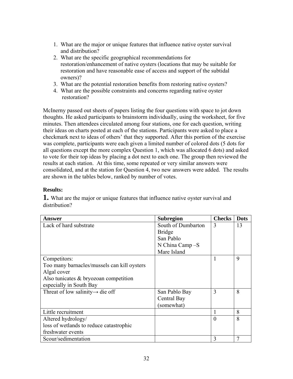- 1. What are the major or unique features that influence native oyster survival and distribution?
- 2. What are the specific geographical recommendations for restoration/enhancement of native oysters (locations that may be suitable for restoration and have reasonable ease of access and support of the subtidal owners)?
- 3. What are the potential restoration benefits from restoring native oysters?
- 4. What are the possible constraints and concerns regarding native oyster restoration?

McInerny passed out sheets of papers listing the four questions with space to jot down thoughts. He asked participants to brainstorm individually, using the worksheet, for five minutes. Then attendees circulated among four stations, one for each question, writing their ideas on charts posted at each of the stations. Participants were asked to place a checkmark next to ideas of others' that they supported. After this portion of the exercise was complete, participants were each given a limited number of colored dots (5 dots for all questions except the more complex Question 1, which was allocated 6 dots) and asked to vote for their top ideas by placing a dot next to each one. The group then reviewed the results at each station. At this time, some repeated or very similar answers were consolidated, and at the station for Question 4, two new answers were added. The results are shown in the tables below, ranked by number of votes.

## **Results:**

**1.** What are the major or unique features that influence native oyster survival and distribution?

| Answer                                       | <b>Subregion</b>   | <b>Checks</b> | <b>Dots</b> |
|----------------------------------------------|--------------------|---------------|-------------|
| Lack of hard substrate                       | South of Dumbarton | 3             | 13          |
|                                              | <b>Bridge</b>      |               |             |
|                                              | San Pablo          |               |             |
|                                              | N China Camp -S    |               |             |
|                                              | Mare Island        |               |             |
| Competitors:                                 |                    |               | 9           |
| Too many barnacles/mussels can kill oysters  |                    |               |             |
| Algal cover                                  |                    |               |             |
| Also tunicates $& bryozoan$ competition      |                    |               |             |
| especially in South Bay                      |                    |               |             |
| Threat of low salinity $\rightarrow$ die off | San Pablo Bay      | 3             | 8           |
|                                              | Central Bay        |               |             |
|                                              | (somewhat)         |               |             |
| Little recruitment                           |                    |               | 8           |
| Altered hydrology/                           |                    | $\Omega$      | 8           |
| loss of wetlands to reduce catastrophic      |                    |               |             |
| freshwater events                            |                    |               |             |
| Scour/sedimentation                          |                    | 3             | 7           |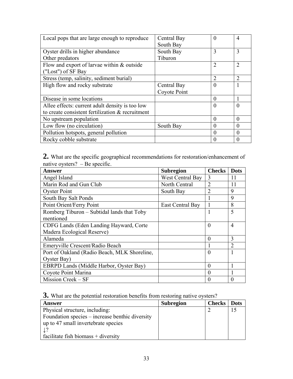| Local pops that are large enough to reproduce    | Central Bay  | $\Omega$       | 4        |
|--------------------------------------------------|--------------|----------------|----------|
|                                                  | South Bay    |                |          |
| Oyster drills in higher abundance                | South Bay    | 3              | 3        |
| Other predators                                  | Tiburon      |                |          |
| Flow and export of larvae within & outside       |              | $\overline{2}$ | 2        |
| ("Lost") of SF Bay                               |              |                |          |
| Stress (temp, salinity, sediment burial)         |              | $\overline{2}$ | 2        |
| High flow and rocky substrate                    | Central Bay  | $\Omega$       |          |
|                                                  | Coyote Point |                |          |
| Disease in some locations                        |              | $\Omega$       |          |
| Allee effects: current adult density is too low  |              | $\Omega$       | $\Omega$ |
| to create consistent fertilization & recruitment |              |                |          |
| No upstream population                           |              | $\Omega$       | $\Omega$ |
| Low flow (no circulation)                        | South Bay    |                | $\theta$ |
| Pollution hotspots, general pollution            |              | $\Omega$       | $\Omega$ |
| Rocky cobble substrate                           |              | 0              | $\Omega$ |

**2.** What are the specific geographical recommendations for restoration/enhancement of native oysters? – Be specific.

| Answer                                       | <b>Subregion</b> | <b>Checks</b>  | <b>Dots</b>    |
|----------------------------------------------|------------------|----------------|----------------|
| Angel Island                                 | West Central Bay | 3              | 11             |
| Marin Rod and Gun Club                       | North Central    | $\overline{2}$ | 11             |
| <b>Oyster Point</b>                          | South Bay        |                | 9              |
| South Bay Salt Ponds                         |                  |                | 9              |
| Point Orient/Ferry Point                     | East Central Bay |                | 8              |
| Romberg Tiburon – Subtidal lands that Toby   |                  |                | 5              |
| mentioned                                    |                  |                |                |
| CDFG Lands (Eden Landing Hayward, Corte      |                  | $\theta$       | $\overline{4}$ |
| Madera Ecological Reserve)                   |                  |                |                |
| Alameda                                      |                  | $\Omega$       | 3              |
| Emeryville Crescent/Radio Beach              |                  |                | $\overline{2}$ |
| Port of Oakland (Radio Beach, MLK Shoreline, |                  | $\theta$       |                |
| Oyster Bay)                                  |                  |                |                |
| EBRPD Lands (Middle Harbor, Oyster Bay)      |                  | $\Omega$       |                |
| Coyote Point Marina                          |                  | $\Omega$       |                |
| Mission Creek – SF                           |                  | 0              | 0              |

**3.** What are the potential restoration benefits from restoring native oysters?

| Answer                                          | <b>Subregion</b> | <b>Checks</b>   Dots |  |
|-------------------------------------------------|------------------|----------------------|--|
| Physical structure, including:                  |                  |                      |  |
| Foundation species – increase benthic diversity |                  |                      |  |
| up to 47 small invertebrate species             |                  |                      |  |
|                                                 |                  |                      |  |
| facilitate fish biomass $+$ diversity           |                  |                      |  |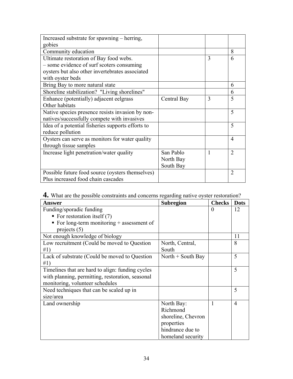| Increased substrate for spawning – herring,       |             |   |                |
|---------------------------------------------------|-------------|---|----------------|
| gobies                                            |             |   |                |
| Community education                               |             |   | 8              |
| Ultimate restoration of Bay food webs.            |             | 3 | 6              |
| - some evidence of surf scoters consuming         |             |   |                |
| oysters but also other invertebrates associated   |             |   |                |
| with oyster beds                                  |             |   |                |
| Bring Bay to more natural state                   |             |   | 6              |
| Shoreline stabilization? "Living shorelines"      |             |   | 6              |
| Enhance (potentially) adjacent eelgrass           | Central Bay | 3 | 5              |
| Other habitats                                    |             |   |                |
| Native species presence resists invasion by non-  |             |   | 5              |
| natives/successfully compete with invasives       |             |   |                |
| Idea of a potential fisheries supports efforts to |             |   | 5              |
| reduce pollution                                  |             |   |                |
| Oysters can serve as monitors for water quality   |             |   | $\overline{4}$ |
| through tissue samples                            |             |   |                |
| Increase light penetration/water quality          | San Pablo   |   | $\overline{2}$ |
|                                                   | North Bay   |   |                |
|                                                   | South Bay   |   |                |
| Possible future food source (oysters themselves)  |             |   | $\overline{2}$ |
| Plus increased food chain cascades                |             |   |                |

| 4. What are the possible constraints and concerns regarding native oyster restoration? |  |  |  |  |  |  |  |  |  |  |
|----------------------------------------------------------------------------------------|--|--|--|--|--|--|--|--|--|--|
|----------------------------------------------------------------------------------------|--|--|--|--|--|--|--|--|--|--|

| <b>Answer</b>                                    | <b>Subregion</b>    | <b>Checks</b> | <b>Dots</b>    |
|--------------------------------------------------|---------------------|---------------|----------------|
| Funding/sporadic funding                         |                     | $\Omega$      | 12             |
| ■ For restoration itself $(7)$                   |                     |               |                |
| For long-term monitoring $+$ assessment of       |                     |               |                |
| projects $(5)$                                   |                     |               |                |
| Not enough knowledge of biology                  |                     |               | 11             |
| Low recruitment (Could be moved to Question      | North, Central,     |               | 8              |
| #1)                                              | South               |               |                |
| Lack of substrate (Could be moved to Question    | North $+$ South Bay |               | 5              |
| #1)                                              |                     |               |                |
| Timelines that are hard to align: funding cycles |                     |               | 5              |
| with planning, permitting, restoration, seasonal |                     |               |                |
| monitoring, volunteer schedules                  |                     |               |                |
| Need techniques that can be scaled up in         |                     |               | 5              |
| size/area                                        |                     |               |                |
| Land ownership                                   | North Bay:          |               | $\overline{4}$ |
|                                                  | Richmond            |               |                |
|                                                  | shoreline, Chevron  |               |                |
|                                                  | properties          |               |                |
|                                                  | hindrance due to    |               |                |
|                                                  | homeland security   |               |                |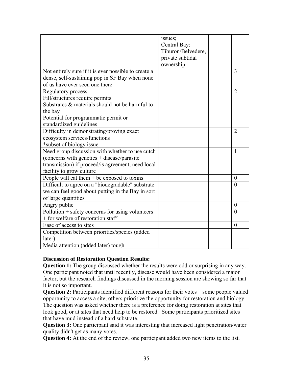|                                                      | issues;            |                |
|------------------------------------------------------|--------------------|----------------|
|                                                      | Central Bay:       |                |
|                                                      | Tiburon/Belvedere, |                |
|                                                      | private subtidal   |                |
|                                                      | ownership          |                |
| Not entirely sure if it is ever possible to create a |                    | 3              |
| dense, self-sustaining pop in SF Bay when none       |                    |                |
| of us have ever seen one there                       |                    |                |
| Regulatory process:                                  |                    | $\overline{2}$ |
| Fill/structures require permits                      |                    |                |
| Substrates & materials should not be harmful to      |                    |                |
| the bay                                              |                    |                |
| Potential for programmatic permit or                 |                    |                |
| standardized guidelines                              |                    |                |
| Difficulty in demonstrating/proving exact            |                    | $\overline{2}$ |
| ecosystem services/functions                         |                    |                |
| *subset of biology issue                             |                    |                |
| Need group discussion with whether to use cutch      |                    | $\mathbf{1}$   |
| (concerns with genetics + disease/parasite)          |                    |                |
| transmission) if proceed/is agreement, need local    |                    |                |
| facility to grow culture                             |                    |                |
| People will eat them $+$ be exposed to toxins        |                    | $\theta$       |
| Difficult to agree on a "biodegradable" substrate    |                    | $\theta$       |
| we can feel good about putting in the Bay in sort    |                    |                |
| of large quantities                                  |                    |                |
| Angry public                                         |                    | $\overline{0}$ |
| $Pollution + safety concerns for using volunteers$   |                    | $\overline{0}$ |
| + for welfare of restoration staff                   |                    |                |
| Ease of access to sites                              |                    | $\theta$       |
| Competition between priorities/species (added        |                    |                |
| later)                                               |                    |                |
| Media attention (added later) tough                  |                    |                |

## **Discussion of Restoration Question Results:**

**Question 1:** The group discussed whether the results were odd or surprising in any way. One participant noted that until recently, disease would have been considered a major factor, but the research findings discussed in the morning session are showing so far that it is not so important.

**Question 2:** Participants identified different reasons for their votes – some people valued opportunity to access a site; others prioritize the opportunity for restoration and biology. The question was asked whether there is a preference for doing restoration at sites that look good, or at sites that need help to be restored. Some participants prioritized sites that have mud instead of a hard substrate.

**Question 3:** One participant said it was interesting that increased light penetration/water quality didn't get as many votes.

**Question 4:** At the end of the review, one participant added two new items to the list.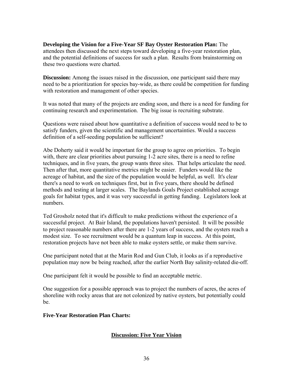#### **Developing the Vision for a Five-Year SF Bay Oyster Restoration Plan:** The attendees then discussed the next steps toward developing a five-year restoration plan, and the potential definitions of success for such a plan. Results from brainstorming on these two questions were charted.

**Discussion:** Among the issues raised in the discussion, one participant said there may need to be a prioritization for species bay-wide, as there could be competition for funding with restoration and management of other species.

It was noted that many of the projects are ending soon, and there is a need for funding for continuing research and experimentation. The big issue is recruiting substrate.

Questions were raised about how quantitative a definition of success would need to be to satisfy funders, given the scientific and management uncertainties. Would a success definition of a self-seeding population be sufficient?

Abe Doherty said it would be important for the group to agree on priorities. To begin with, there are clear priorities about pursuing 1-2 acre sites, there is a need to refine techniques, and in five years, the group wants three sites. That helps articulate the need. Then after that, more quantitative metrics might be easier. Funders would like the acreage of habitat, and the size of the population would be helpful, as well. It's clear there's a need to work on techniques first, but in five years, there should be defined methods and testing at larger scales. The Baylands Goals Project established acreage goals for habitat types, and it was very successful in getting funding. Legislators look at numbers.

Ted Grosholz noted that it's difficult to make predictions without the experience of a successful project. At Bair Island, the populations haven't persisted. It will be possible to project reasonable numbers after there are 1-2 years of success, and the oysters reach a modest size. To see recruitment would be a quantum leap in success. At this point, restoration projects have not been able to make oysters settle, or make them survive.

One participant noted that at the Marin Rod and Gun Club, it looks as if a reproductive population may now be being reached, after the earlier North Bay salinity-related die-off.

One participant felt it would be possible to find an acceptable metric.

One suggestion for a possible approach was to project the numbers of acres, the acres of shoreline with rocky areas that are not colonized by native oysters, but potentially could be.

## **Five-Year Restoration Plan Charts:**

## **Discussion: Five Year Vision**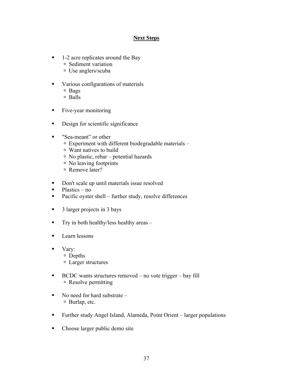## **Next Steps**

- 1-2 acre replicates around the Bay
	- à Sediment variation
	- à Use anglers/scuba
- various configurations of materials
	- $\Box$  Bags
	- à Balls
- Five-year monitoring
- Design for scientific significance
- "Sea-meant" or other
	- $\Box$  Experiment with different biodegradable materials –
	- à Want natives to build
	- $\overline{a}$  No plastic, rebar potential hazards
	- $\overline{\phantom{a}}$  No leaving footprints
	- Remove later?
- Don't scale up until materials issue resolved
- $\nightharpoonup$  Plastics no
- Pacific oyster shell further study, resolve differences
- 3 larger projects in 3 bays
- $\blacksquare$  Try in both healthy/less healthy areas –
- **Learn lessons**
- Vary:
	- à Depths
	- à Larger structures
- $\blacksquare$  BCDC wants structures removed no vote trigger bay fill à Resolve permitting
- $\blacksquare$  No need for hard substrate à Burlap, etc.
- Further study Angel Island, Alameda, Point Orient larger populations
- Choose larger public demo site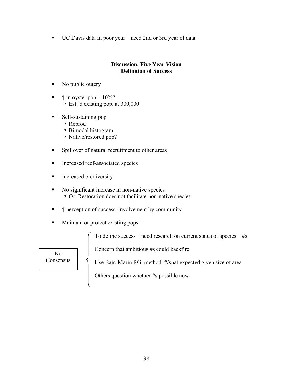UC Davis data in poor year – need 2nd or 3rd year of data

## **Discussion: Five Year Vision Definition of Success**

- No public outcry
- $\blacksquare$   $\uparrow$  in oyster pop  $-10\%$ ?  $\overline{E}$  Est.'d existing pop. at 300,000
- Self-sustaining pop
	- à Reprod
	- à Bimodal histogram
	- à Native/restored pop?
- **Spillover of natural recruitment to other areas**
- **Increased reef-associated species**
- **Increased biodiversity**
- No significant increase in non-native species à Or: Restoration does not facilitate non-native species
- ↑ perception of success, involvement by community
- **Maintain or protect existing pops**

To define success – need research on current status of species  $-$  #s

Concern that ambitious #s could backfire

Use Bair, Marin RG, method: #/spat expected given size of area

Others question whether #s possible now

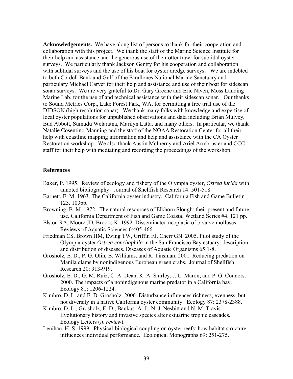**Acknowledgements.** We have along list of persons to thank for their cooperation and collaboration with this project. We thank the staff of the Marine Science Institute for their help and assistance and the generous use of their otter trawl for subtidal oyster surveys. We particularly thank Jackson Gentry for his cooperation and collaboration with subtidal surveys and the use of his boat for oyster dredge surveys. We are indebted to both Cordell Bank and Gulf of the Farallones National Marine Sanctuary and particulary Michael Carver for their help and assistance and use of their boat for sidescan sonar surveys. We are very grateful to Dr. Gary Greene and Eric Niven, Moss Landing Marine Lab, for the use of and technical assistance with their sidescan sonar. Our thanks to Sound Metrics Corp., Lake Forest Park, WA, for permitting a free trial use of the DIDSON (high resolution sonar). We thank many folks with knowledge and expertise of local oyster populations for unpublished observations and data including Brian Mulvey, Bud Abbott, Sumudu Welaratna, Marilyn Latta, and many others. In particular, we thank Natalie Cosentino-Manning and the staff of the NOAA Restoration Center for all their help with coastline mapping information and help and assistance with the CA Oyster Restoration workshop. We also thank Austin McInerny and Ariel Armbruster and CCC staff for their help with mediating and recording the proceedings of the workshop.

#### **References**

- Baker, P. 1995. Review of ecology and fishery of the Olympia oyster, *Ostrea lurida* with annoted bibliography. Journal of Shellfish Research 14: 501-518.
- Barnett, E. M. 1963. The California oyster industry. California Fish and Game Bulletin 123. 103pp.
- Browning, B. M. 1972. The natural resources of Elkhorn Slough: their present and future use. California Department of Fish and Game Coastal Wetland Series #4. 121 pp.
- Elston RA, Moore JD, Brooks K. 1992. Disseminated neoplasia of bivalve molluscs. Reviews of Aquatic Sciences 6:405-466.
- Friedman CS, Brown HM, Ewing TW, Griffin FJ, Cherr GN. 2005. Pilot study of the Olympia oyster *Ostrea conchaphila* in the San Francisco Bay estuary: description and distribution of diseases. Diseases of Aquatic Organisms 65:1-8.
- Grosholz, E. D., P. G. Olin, B. Williams, and R. Tinsman. 2001 Reducing predation on Manila clams by nonindigenous European green crabs. Journal of Shellfish Research 20: 913-919.
- Grosholz, E. D., G. M. Ruiz, C. A. Dean, K. A. Shirley, J. L. Maron, and P. G. Connors. 2000. The impacts of a nonindigenous marine predator in a California bay. Ecology 81: 1206-1224.
- Kimbro, D. L. and E. D. Grosholz. 2006. Disturbance influences richness, evenness, but not diversity in a native California oyster community. Ecology 87: 2378-2388.
- Kimbro, D. L., Grosholz, E. D., Baukus. A. J., N. J. Nesbitt and N. M. Travis. Evolutionary history and invasive species alter estuarine trophic cascades. Ecology Letters (*in review*).
- Lenihan, H. S. 1999. Physical-biological coupling on oyster reefs: how habitat structure influences individual performance. Ecological Monographs 69: 251-275.